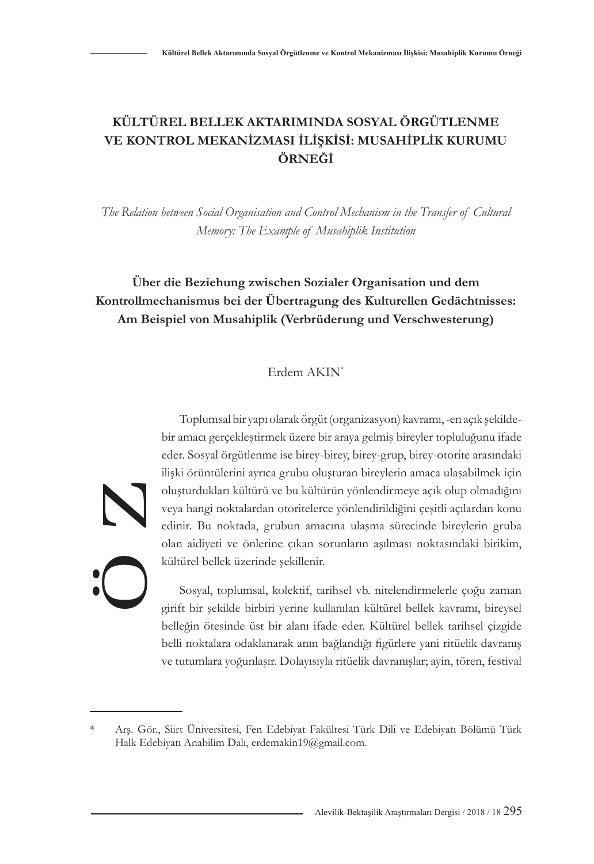# **KÜLTÜREL BELLEK AKTARIMINDA SOSYAL ÖRGÜTLENME VE KONTROL MEKANİZMASI İLİŞKİSİ: MUSAHİPLİK KURUMU ÖRNEĞİ**

*The Relation between Social Organisation and Control Mechanism in the Transfer of Cultural Memory: The Example of Musahiplik Institution*

# **Über die Beziehung zwischen Sozialer Organisation und dem Kontrollmechanismus bei der Übertragung des Kulturellen Gedächtnisses: Am Beispiel von Musahiplik (Verbrüderung und Verschwesterung)**

# Erdem AKIN\*

Ö Z

Toplumsal bir yapı olarak örgüt (organizasyon) kavramı, -en açık şekildebir amacı gerçekleştirmek üzere bir araya gelmiş bireyler topluluğunu ifade eder. Sosyal örgütlenme ise birey-birey, birey-grup, birey-otorite arasındaki ilişki örüntülerini ayrıca grubu oluşturan bireylerin amaca ulaşabilmek için oluşturdukları kültürü ve bu kültürün yönlendirmeye açık olup olmadığını veya hangi noktalardan otoritelerce yönlendirildiğini çeşitli açılardan konu edinir. Bu noktada, grubun amacına ulaşma sürecinde bireylerin gruba olan aidiyeti ve önlerine çıkan sorunların aşılması noktasındaki birikim, kültürel bellek üzerinde şekillenir.

Sosyal, toplumsal, kolektif, tarihsel vb. nitelendirmelerle çoğu zaman girift bir şekilde birbiri yerine kullanılan kültürel bellek kavramı, bireysel belleğin ötesinde üst bir alanı ifade eder. Kültürel bellek tarihsel çizgide belli noktalara odaklanarak anın bağlandığı figürlere yani ritüelik davranış ve tutumlara yoğunlaşır. Dolayısıyla ritüelik davranışlar; ayin, tören, festival

Alevilik-Bektaşilik Araştırmaları Dergisi / 2018 / 18 295

Arş. Gör., Siirt Üniversitesi, Fen Edebiyat Fakültesi Türk Dili ve Edebiyatı Bölümü Türk Halk Edebiyatı Anabilim Dalı, erdemakin19@gmail.com.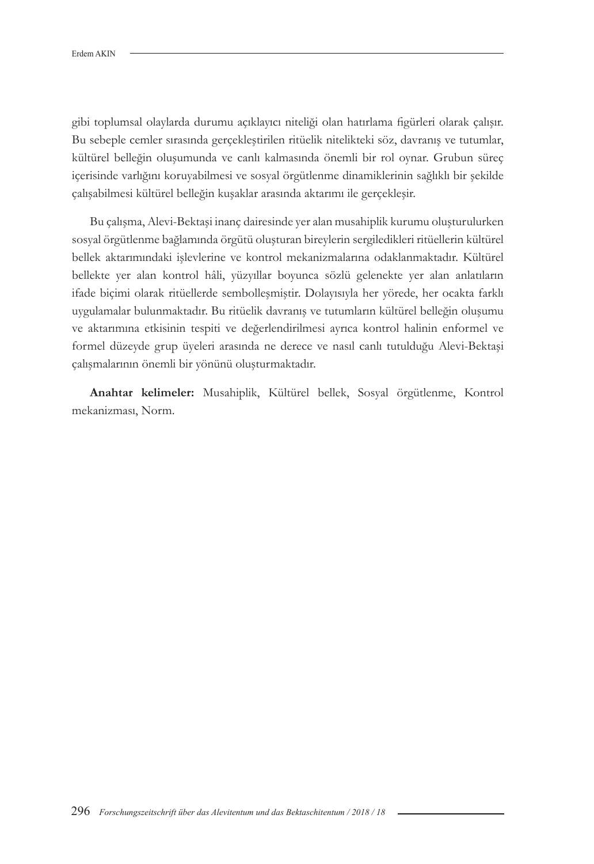gibi toplumsal olaylarda durumu açıklayıcı niteliği olan hatırlama figürleri olarak çalışır. Bu sebeple cemler sırasında gerçekleştirilen ritüelik nitelikteki söz, davranış ve tutumlar, kültürel belleğin oluşumunda ve canlı kalmasında önemli bir rol oynar. Grubun süreç içerisinde varlığını koruyabilmesi ve sosyal örgütlenme dinamiklerinin sağlıklı bir şekilde çalışabilmesi kültürel belleğin kuşaklar arasında aktarımı ile gerçekleşir.

Bu çalışma, Alevi-Bektaşi inanç dairesinde yer alan musahiplik kurumu oluşturulurken sosyal örgütlenme bağlamında örgütü oluşturan bireylerin sergiledikleri ritüellerin kültürel bellek aktarımındaki işlevlerine ve kontrol mekanizmalarına odaklanmaktadır. Kültürel bellekte yer alan kontrol hâli, yüzyıllar boyunca sözlü gelenekte yer alan anlatıların ifade biçimi olarak ritüellerde sembolleşmiştir. Dolayısıyla her yörede, her ocakta farklı uygulamalar bulunmaktadır. Bu ritüelik davranış ve tutumların kültürel belleğin oluşumu ve aktarımına etkisinin tespiti ve değerlendirilmesi ayrıca kontrol halinin enformel ve formel düzeyde grup üyeleri arasında ne derece ve nasıl canlı tutulduğu Alevi-Bektaşi çalışmalarının önemli bir yönünü oluşturmaktadır.

**Anahtar kelimeler:** Musahiplik, Kültürel bellek, Sosyal örgütlenme, Kontrol mekanizması, Norm.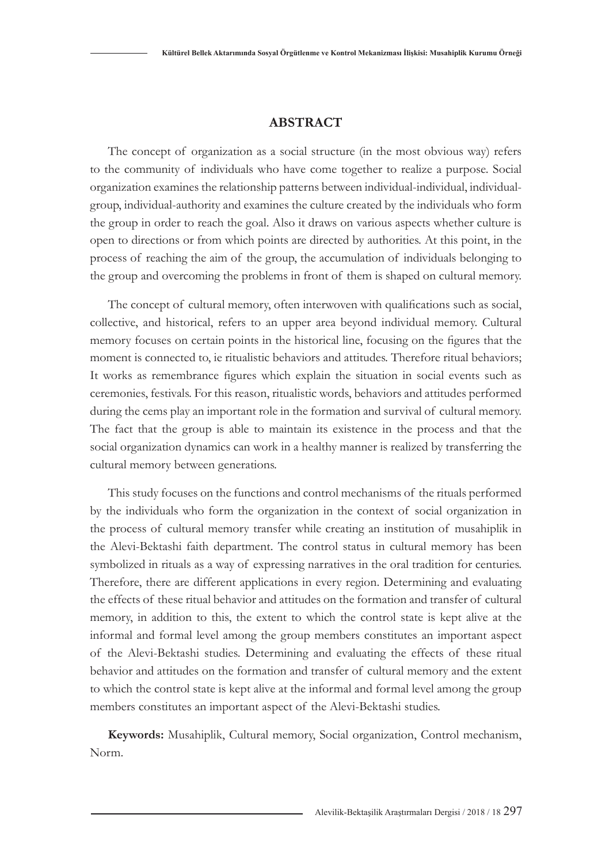## **ABSTRACT**

The concept of organization as a social structure (in the most obvious way) refers to the community of individuals who have come together to realize a purpose. Social organization examines the relationship patterns between individual-individual, individualgroup, individual-authority and examines the culture created by the individuals who form the group in order to reach the goal. Also it draws on various aspects whether culture is open to directions or from which points are directed by authorities. At this point, in the process of reaching the aim of the group, the accumulation of individuals belonging to the group and overcoming the problems in front of them is shaped on cultural memory.

The concept of cultural memory, often interwoven with qualifications such as social, collective, and historical, refers to an upper area beyond individual memory. Cultural memory focuses on certain points in the historical line, focusing on the figures that the moment is connected to, ie ritualistic behaviors and attitudes. Therefore ritual behaviors; It works as remembrance figures which explain the situation in social events such as ceremonies, festivals. For this reason, ritualistic words, behaviors and attitudes performed during the cems play an important role in the formation and survival of cultural memory. The fact that the group is able to maintain its existence in the process and that the social organization dynamics can work in a healthy manner is realized by transferring the cultural memory between generations.

This study focuses on the functions and control mechanisms of the rituals performed by the individuals who form the organization in the context of social organization in the process of cultural memory transfer while creating an institution of musahiplik in the Alevi-Bektashi faith department. The control status in cultural memory has been symbolized in rituals as a way of expressing narratives in the oral tradition for centuries. Therefore, there are different applications in every region. Determining and evaluating the effects of these ritual behavior and attitudes on the formation and transfer of cultural memory, in addition to this, the extent to which the control state is kept alive at the informal and formal level among the group members constitutes an important aspect of the Alevi-Bektashi studies. Determining and evaluating the effects of these ritual behavior and attitudes on the formation and transfer of cultural memory and the extent to which the control state is kept alive at the informal and formal level among the group members constitutes an important aspect of the Alevi-Bektashi studies.

**Keywords:** Musahiplik, Cultural memory, Social organization, Control mechanism, Norm.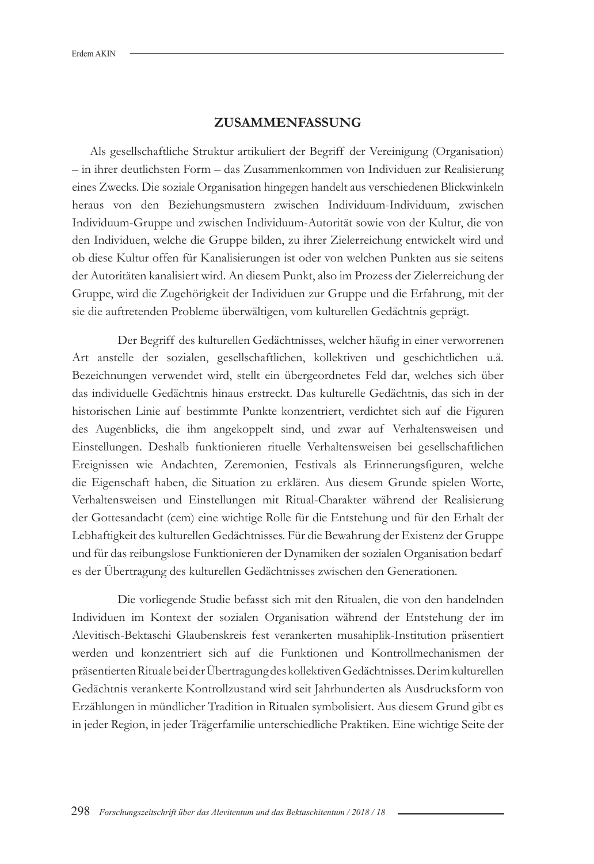## **ZUSAMMENFASSUNG**

Als gesellschaftliche Struktur artikuliert der Begriff der Vereinigung (Organisation) – in ihrer deutlichsten Form – das Zusammenkommen von Individuen zur Realisierung eines Zwecks. Die soziale Organisation hingegen handelt aus verschiedenen Blickwinkeln heraus von den Beziehungsmustern zwischen Individuum-Individuum, zwischen Individuum-Gruppe und zwischen Individuum-Autorität sowie von der Kultur, die von den Individuen, welche die Gruppe bilden, zu ihrer Zielerreichung entwickelt wird und ob diese Kultur offen für Kanalisierungen ist oder von welchen Punkten aus sie seitens der Autoritäten kanalisiert wird. An diesem Punkt, also im Prozess der Zielerreichung der Gruppe, wird die Zugehörigkeit der Individuen zur Gruppe und die Erfahrung, mit der sie die auftretenden Probleme überwältigen, vom kulturellen Gedächtnis geprägt.

Der Begriff des kulturellen Gedächtnisses, welcher häufig in einer verworrenen Art anstelle der sozialen, gesellschaftlichen, kollektiven und geschichtlichen u.ä. Bezeichnungen verwendet wird, stellt ein übergeordnetes Feld dar, welches sich über das individuelle Gedächtnis hinaus erstreckt. Das kulturelle Gedächtnis, das sich in der historischen Linie auf bestimmte Punkte konzentriert, verdichtet sich auf die Figuren des Augenblicks, die ihm angekoppelt sind, und zwar auf Verhaltensweisen und Einstellungen. Deshalb funktionieren rituelle Verhaltensweisen bei gesellschaftlichen Ereignissen wie Andachten, Zeremonien, Festivals als Erinnerungsfiguren, welche die Eigenschaft haben, die Situation zu erklären. Aus diesem Grunde spielen Worte, Verhaltensweisen und Einstellungen mit Ritual-Charakter während der Realisierung der Gottesandacht (cem) eine wichtige Rolle für die Entstehung und für den Erhalt der Lebhaftigkeit des kulturellen Gedächtnisses. Für die Bewahrung der Existenz der Gruppe und für das reibungslose Funktionieren der Dynamiken der sozialen Organisation bedarf es der Übertragung des kulturellen Gedächtnisses zwischen den Generationen.

Die vorliegende Studie befasst sich mit den Ritualen, die von den handelnden Individuen im Kontext der sozialen Organisation während der Entstehung der im Alevitisch-Bektaschi Glaubenskreis fest verankerten musahiplik-Institution präsentiert werden und konzentriert sich auf die Funktionen und Kontrollmechanismen der präsentierten Rituale bei der Übertragung des kollektiven Gedächtnisses. Der im kulturellen Gedächtnis verankerte Kontrollzustand wird seit Jahrhunderten als Ausdrucksform von Erzählungen in mündlicher Tradition in Ritualen symbolisiert. Aus diesem Grund gibt es in jeder Region, in jeder Trägerfamilie unterschiedliche Praktiken. Eine wichtige Seite der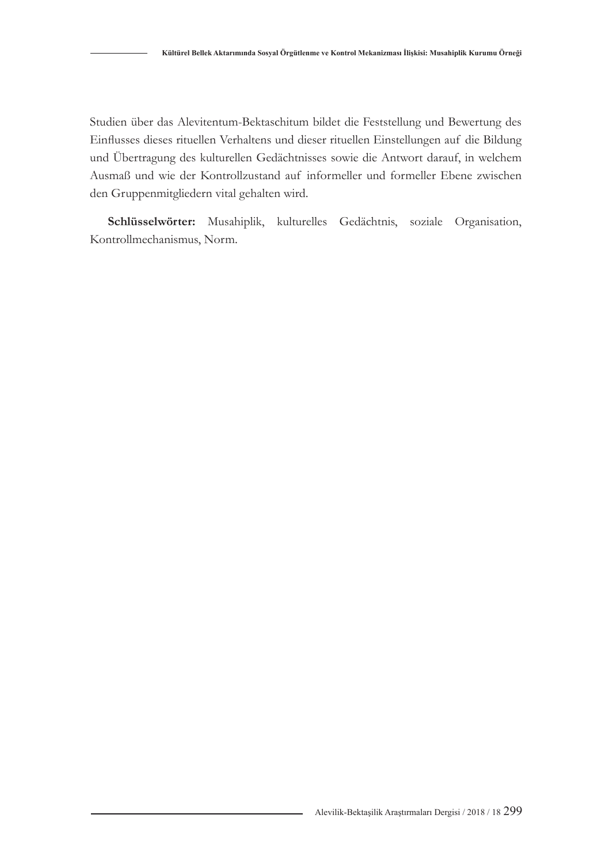Studien über das Alevitentum-Bektaschitum bildet die Feststellung und Bewertung des Einflusses dieses rituellen Verhaltens und dieser rituellen Einstellungen auf die Bildung und Übertragung des kulturellen Gedächtnisses sowie die Antwort darauf, in welchem Ausmaß und wie der Kontrollzustand auf informeller und formeller Ebene zwischen den Gruppenmitgliedern vital gehalten wird.

**Schlüsselwörter:** Musahiplik, kulturelles Gedächtnis, soziale Organisation, Kontrollmechanismus, Norm.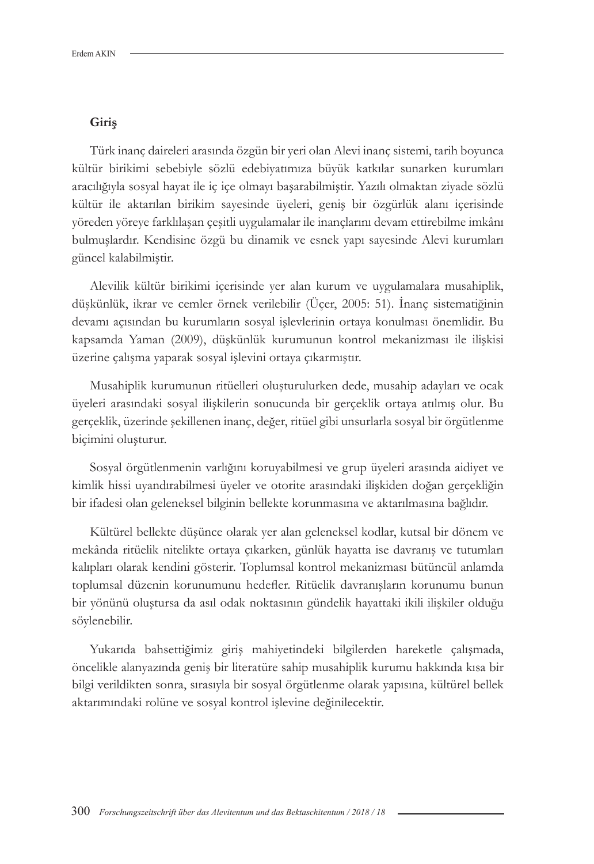#### **Giriş**

Türk inanç daireleri arasında özgün bir yeri olan Alevi inanç sistemi, tarih boyunca kültür birikimi sebebiyle sözlü edebiyatımıza büyük katkılar sunarken kurumları aracılığıyla sosyal hayat ile iç içe olmayı başarabilmiştir. Yazılı olmaktan ziyade sözlü kültür ile aktarılan birikim sayesinde üyeleri, geniş bir özgürlük alanı içerisinde yöreden yöreye farklılaşan çeşitli uygulamalar ile inançlarını devam ettirebilme imkânı bulmuşlardır. Kendisine özgü bu dinamik ve esnek yapı sayesinde Alevi kurumları güncel kalabilmiştir.

Alevilik kültür birikimi içerisinde yer alan kurum ve uygulamalara musahiplik, düşkünlük, ikrar ve cemler örnek verilebilir (Üçer, 2005: 51). İnanç sistematiğinin devamı açısından bu kurumların sosyal işlevlerinin ortaya konulması önemlidir. Bu kapsamda Yaman (2009), düşkünlük kurumunun kontrol mekanizması ile ilişkisi üzerine çalışma yaparak sosyal işlevini ortaya çıkarmıştır.

Musahiplik kurumunun ritüelleri oluşturulurken dede, musahip adayları ve ocak üyeleri arasındaki sosyal ilişkilerin sonucunda bir gerçeklik ortaya atılmış olur. Bu gerçeklik, üzerinde şekillenen inanç, değer, ritüel gibi unsurlarla sosyal bir örgütlenme biçimini oluşturur.

Sosyal örgütlenmenin varlığını koruyabilmesi ve grup üyeleri arasında aidiyet ve kimlik hissi uyandırabilmesi üyeler ve otorite arasındaki ilişkiden doğan gerçekliğin bir ifadesi olan geleneksel bilginin bellekte korunmasına ve aktarılmasına bağlıdır.

Kültürel bellekte düşünce olarak yer alan geleneksel kodlar, kutsal bir dönem ve mekânda ritüelik nitelikte ortaya çıkarken, günlük hayatta ise davranış ve tutumları kalıpları olarak kendini gösterir. Toplumsal kontrol mekanizması bütüncül anlamda toplumsal düzenin korunumunu hedefler. Ritüelik davranışların korunumu bunun bir yönünü oluştursa da asıl odak noktasının gündelik hayattaki ikili ilişkiler olduğu söylenebilir.

Yukarıda bahsettiğimiz giriş mahiyetindeki bilgilerden hareketle çalışmada, öncelikle alanyazında geniş bir literatüre sahip musahiplik kurumu hakkında kısa bir bilgi verildikten sonra, sırasıyla bir sosyal örgütlenme olarak yapısına, kültürel bellek aktarımındaki rolüne ve sosyal kontrol işlevine değinilecektir.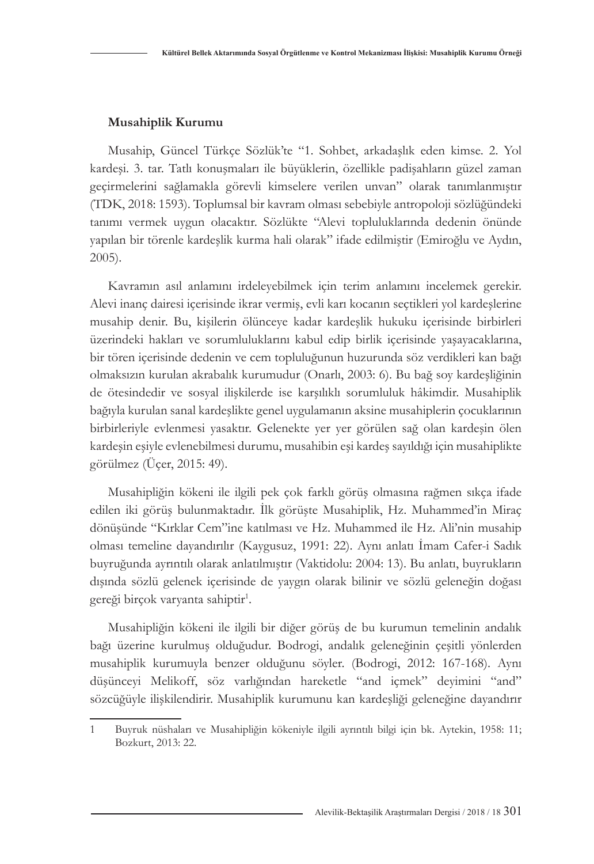#### **Musahiplik Kurumu**

Musahip, Güncel Türkçe Sözlük'te "1. Sohbet, arkadaşlık eden kimse. 2. Yol kardeşi. 3. tar. Tatlı konuşmaları ile büyüklerin, özellikle padişahların güzel zaman geçirmelerini sağlamakla görevli kimselere verilen unvan" olarak tanımlanmıştır (TDK, 2018: 1593). Toplumsal bir kavram olması sebebiyle antropoloji sözlüğündeki tanımı vermek uygun olacaktır. Sözlükte "Alevi topluluklarında dedenin önünde yapılan bir törenle kardeşlik kurma hali olarak" ifade edilmiştir (Emiroğlu ve Aydın, 2005).

Kavramın asıl anlamını irdeleyebilmek için terim anlamını incelemek gerekir. Alevi inanç dairesi içerisinde ikrar vermiş, evli karı kocanın seçtikleri yol kardeşlerine musahip denir. Bu, kişilerin ölünceye kadar kardeşlik hukuku içerisinde birbirleri üzerindeki hakları ve sorumluluklarını kabul edip birlik içerisinde yaşayacaklarına, bir tören içerisinde dedenin ve cem topluluğunun huzurunda söz verdikleri kan bağı olmaksızın kurulan akrabalık kurumudur (Onarlı, 2003: 6). Bu bağ soy kardeşliğinin de ötesindedir ve sosyal ilişkilerde ise karşılıklı sorumluluk hâkimdir. Musahiplik bağıyla kurulan sanal kardeşlikte genel uygulamanın aksine musahiplerin çocuklarının birbirleriyle evlenmesi yasaktır. Gelenekte yer yer görülen sağ olan kardeşin ölen kardeşin eşiyle evlenebilmesi durumu, musahibin eşi kardeş sayıldığı için musahiplikte görülmez (Üçer, 2015: 49).

Musahipliğin kökeni ile ilgili pek çok farklı görüş olmasına rağmen sıkça ifade edilen iki görüş bulunmaktadır. İlk görüşte Musahiplik, Hz. Muhammed'in Miraç dönüşünde "Kırklar Cem"ine katılması ve Hz. Muhammed ile Hz. Ali'nin musahip olması temeline dayandırılır (Kaygusuz, 1991: 22). Aynı anlatı İmam Cafer-i Sadık buyruğunda ayrıntılı olarak anlatılmıştır (Vaktidolu: 2004: 13). Bu anlatı, buyrukların dışında sözlü gelenek içerisinde de yaygın olarak bilinir ve sözlü geleneğin doğası gereği birçok varyanta sahiptir<sup>1</sup>.

Musahipliğin kökeni ile ilgili bir diğer görüş de bu kurumun temelinin andalık bağı üzerine kurulmuş olduğudur. Bodrogi, andalık geleneğinin çeşitli yönlerden musahiplik kurumuyla benzer olduğunu söyler. (Bodrogi, 2012: 167-168). Aynı düşünceyi Melikoff, söz varlığından hareketle "and içmek" deyimini "and" sözcüğüyle ilişkilendirir. Musahiplik kurumunu kan kardeşliği geleneğine dayandırır

<sup>1</sup> Buyruk nüshaları ve Musahipliğin kökeniyle ilgili ayrıntılı bilgi için bk. Aytekin, 1958: 11; Bozkurt, 2013: 22.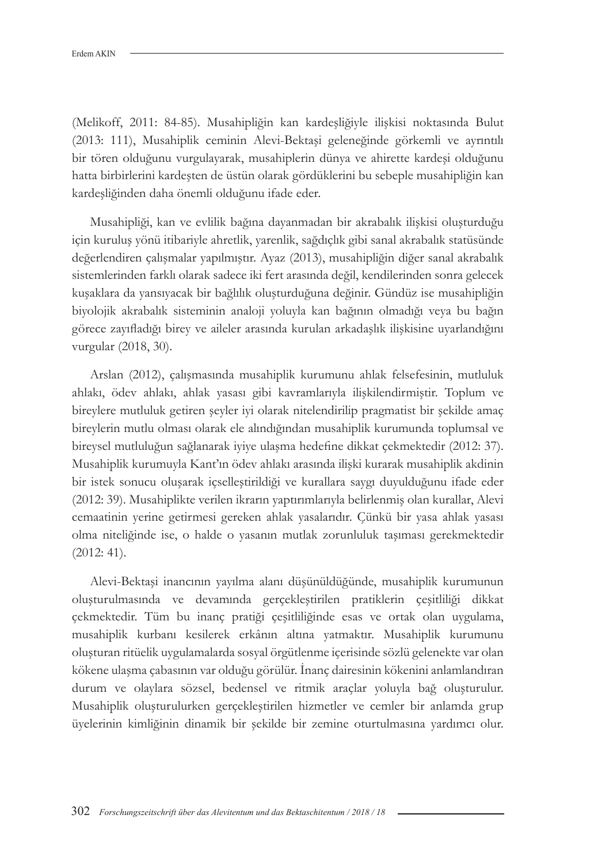(Melikoff, 2011: 84-85). Musahipliğin kan kardeşliğiyle ilişkisi noktasında Bulut (2013: 111), Musahiplik ceminin Alevi-Bektaşi geleneğinde görkemli ve ayrıntılı bir tören olduğunu vurgulayarak, musahiplerin dünya ve ahirette kardeşi olduğunu hatta birbirlerini kardeşten de üstün olarak gördüklerini bu sebeple musahipliğin kan kardeşliğinden daha önemli olduğunu ifade eder.

Musahipliği, kan ve evlilik bağına dayanmadan bir akrabalık ilişkisi oluşturduğu için kuruluş yönü itibariyle ahretlik, yarenlik, sağdıçlık gibi sanal akrabalık statüsünde değerlendiren çalışmalar yapılmıştır. Ayaz (2013), musahipliğin diğer sanal akrabalık sistemlerinden farklı olarak sadece iki fert arasında değil, kendilerinden sonra gelecek kuşaklara da yansıyacak bir bağlılık oluşturduğuna değinir. Gündüz ise musahipliğin biyolojik akrabalık sisteminin analoji yoluyla kan bağının olmadığı veya bu bağın görece zayıfladığı birey ve aileler arasında kurulan arkadaşlık ilişkisine uyarlandığını vurgular (2018, 30).

Arslan (2012), çalışmasında musahiplik kurumunu ahlak felsefesinin, mutluluk ahlakı, ödev ahlakı, ahlak yasası gibi kavramlarıyla ilişkilendirmiştir. Toplum ve bireylere mutluluk getiren şeyler iyi olarak nitelendirilip pragmatist bir şekilde amaç bireylerin mutlu olması olarak ele alındığından musahiplik kurumunda toplumsal ve bireysel mutluluğun sağlanarak iyiye ulaşma hedefine dikkat çekmektedir (2012: 37). Musahiplik kurumuyla Kant'ın ödev ahlakı arasında ilişki kurarak musahiplik akdinin bir istek sonucu oluşarak içselleştirildiği ve kurallara saygı duyulduğunu ifade eder (2012: 39). Musahiplikte verilen ikrarın yaptırımlarıyla belirlenmiş olan kurallar, Alevi cemaatinin yerine getirmesi gereken ahlak yasalarıdır. Çünkü bir yasa ahlak yasası olma niteliğinde ise, o halde o yasanın mutlak zorunluluk taşıması gerekmektedir (2012: 41).

Alevi-Bektaşi inancının yayılma alanı düşünüldüğünde, musahiplik kurumunun oluşturulmasında ve devamında gerçekleştirilen pratiklerin çeşitliliği dikkat çekmektedir. Tüm bu inanç pratiği çeşitliliğinde esas ve ortak olan uygulama, musahiplik kurbanı kesilerek erkânın altına yatmaktır. Musahiplik kurumunu oluşturan ritüelik uygulamalarda sosyal örgütlenme içerisinde sözlü gelenekte var olan kökene ulaşma çabasının var olduğu görülür. İnanç dairesinin kökenini anlamlandıran durum ve olaylara sözsel, bedensel ve ritmik araçlar yoluyla bağ oluşturulur. Musahiplik oluşturulurken gerçekleştirilen hizmetler ve cemler bir anlamda grup üyelerinin kimliğinin dinamik bir şekilde bir zemine oturtulmasına yardımcı olur.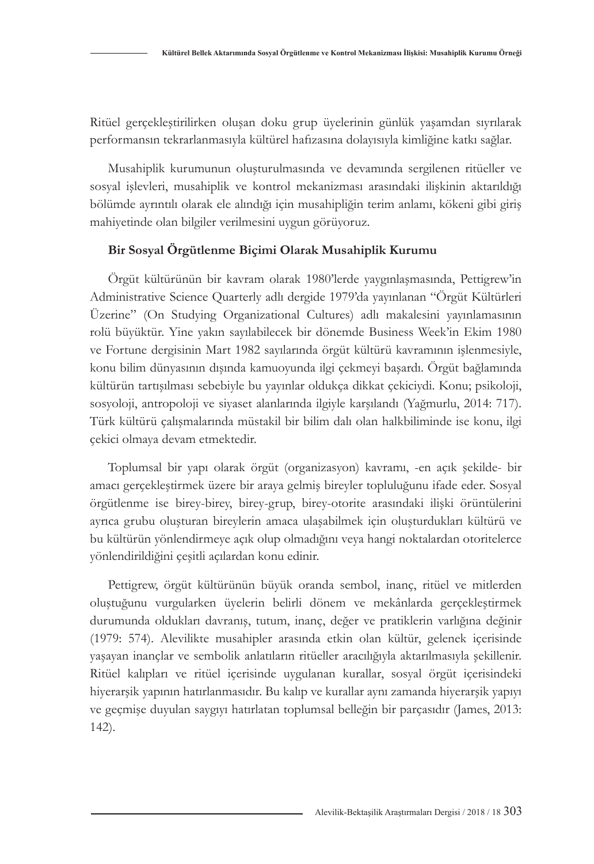Ritüel gerçekleştirilirken oluşan doku grup üyelerinin günlük yaşamdan sıyrılarak performansın tekrarlanmasıyla kültürel hafızasına dolayısıyla kimliğine katkı sağlar.

Musahiplik kurumunun oluşturulmasında ve devamında sergilenen ritüeller ve sosyal işlevleri, musahiplik ve kontrol mekanizması arasındaki ilişkinin aktarıldığı bölümde ayrıntılı olarak ele alındığı için musahipliğin terim anlamı, kökeni gibi giriş mahiyetinde olan bilgiler verilmesini uygun görüyoruz.

### **Bir Sosyal Örgütlenme Biçimi Olarak Musahiplik Kurumu**

Örgüt kültürünün bir kavram olarak 1980'lerde yaygınlaşmasında, Pettigrew'in Administrative Science Quarterly adlı dergide 1979'da yayınlanan "Örgüt Kültürleri Üzerine" (On Studying Organizational Cultures) adlı makalesini yayınlamasının rolü büyüktür. Yine yakın sayılabilecek bir dönemde Business Week'in Ekim 1980 ve Fortune dergisinin Mart 1982 sayılarında örgüt kültürü kavramının işlenmesiyle, konu bilim dünyasının dışında kamuoyunda ilgi çekmeyi başardı. Örgüt bağlamında kültürün tartışılması sebebiyle bu yayınlar oldukça dikkat çekiciydi. Konu; psikoloji, sosyoloji, antropoloji ve siyaset alanlarında ilgiyle karşılandı (Yağmurlu, 2014: 717). Türk kültürü çalışmalarında müstakil bir bilim dalı olan halkbiliminde ise konu, ilgi çekici olmaya devam etmektedir.

Toplumsal bir yapı olarak örgüt (organizasyon) kavramı, -en açık şekilde- bir amacı gerçekleştirmek üzere bir araya gelmiş bireyler topluluğunu ifade eder. Sosyal örgütlenme ise birey-birey, birey-grup, birey-otorite arasındaki ilişki örüntülerini ayrıca grubu oluşturan bireylerin amaca ulaşabilmek için oluşturdukları kültürü ve bu kültürün yönlendirmeye açık olup olmadığını veya hangi noktalardan otoritelerce yönlendirildiğini çeşitli açılardan konu edinir.

Pettigrew, örgüt kültürünün büyük oranda sembol, inanç, ritüel ve mitlerden oluştuğunu vurgularken üyelerin belirli dönem ve mekânlarda gerçekleştirmek durumunda oldukları davranış, tutum, inanç, değer ve pratiklerin varlığına değinir (1979: 574). Alevilikte musahipler arasında etkin olan kültür, gelenek içerisinde yaşayan inançlar ve sembolik anlatıların ritüeller aracılığıyla aktarılmasıyla şekillenir. Ritüel kalıpları ve ritüel içerisinde uygulanan kurallar, sosyal örgüt içerisindeki hiyerarşik yapının hatırlanmasıdır. Bu kalıp ve kurallar aynı zamanda hiyerarşik yapıyı ve geçmişe duyulan saygıyı hatırlatan toplumsal belleğin bir parçasıdır (James, 2013: 142).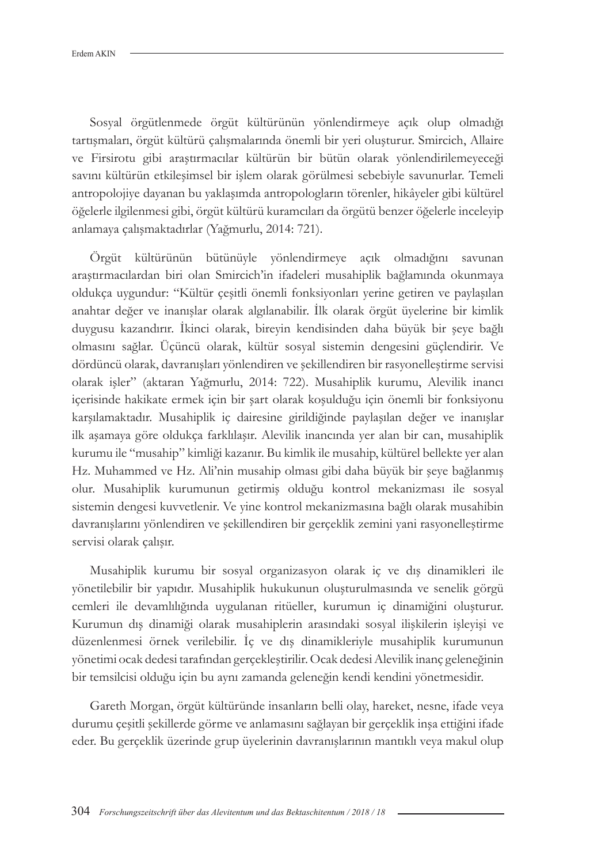Sosyal örgütlenmede örgüt kültürünün yönlendirmeye açık olup olmadığı tartışmaları, örgüt kültürü çalışmalarında önemli bir yeri oluşturur. Smircich, Allaire ve Firsirotu gibi araştırmacılar kültürün bir bütün olarak yönlendirilemeyeceği savını kültürün etkileşimsel bir işlem olarak görülmesi sebebiyle savunurlar. Temeli antropolojiye dayanan bu yaklaşımda antropologların törenler, hikâyeler gibi kültürel öğelerle ilgilenmesi gibi, örgüt kültürü kuramcıları da örgütü benzer öğelerle inceleyip anlamaya çalışmaktadırlar (Yağmurlu, 2014: 721).

Örgüt kültürünün bütünüyle yönlendirmeye açık olmadığını savunan araştırmacılardan biri olan Smircich'in ifadeleri musahiplik bağlamında okunmaya oldukça uygundur: "Kültür çeşitli önemli fonksiyonları yerine getiren ve paylaşılan anahtar değer ve inanışlar olarak algılanabilir. İlk olarak örgüt üyelerine bir kimlik duygusu kazandırır. İkinci olarak, bireyin kendisinden daha büyük bir şeye bağlı olmasını sağlar. Üçüncü olarak, kültür sosyal sistemin dengesini güçlendirir. Ve dördüncü olarak, davranışları yönlendiren ve şekillendiren bir rasyonelleştirme servisi olarak işler" (aktaran Yağmurlu, 2014: 722). Musahiplik kurumu, Alevilik inancı içerisinde hakikate ermek için bir şart olarak koşulduğu için önemli bir fonksiyonu karşılamaktadır. Musahiplik iç dairesine girildiğinde paylaşılan değer ve inanışlar ilk aşamaya göre oldukça farklılaşır. Alevilik inancında yer alan bir can, musahiplik kurumu ile "musahip" kimliği kazanır. Bu kimlik ile musahip, kültürel bellekte yer alan Hz. Muhammed ve Hz. Ali'nin musahip olması gibi daha büyük bir şeye bağlanmış olur. Musahiplik kurumunun getirmiş olduğu kontrol mekanizması ile sosyal sistemin dengesi kuvvetlenir. Ve yine kontrol mekanizmasına bağlı olarak musahibin davranışlarını yönlendiren ve şekillendiren bir gerçeklik zemini yani rasyonelleştirme servisi olarak çalışır.

Musahiplik kurumu bir sosyal organizasyon olarak iç ve dış dinamikleri ile yönetilebilir bir yapıdır. Musahiplik hukukunun oluşturulmasında ve senelik görgü cemleri ile devamlılığında uygulanan ritüeller, kurumun iç dinamiğini oluşturur. Kurumun dış dinamiği olarak musahiplerin arasındaki sosyal ilişkilerin işleyişi ve düzenlenmesi örnek verilebilir. İç ve dış dinamikleriyle musahiplik kurumunun yönetimi ocak dedesi tarafından gerçekleştirilir. Ocak dedesi Alevilik inanç geleneğinin bir temsilcisi olduğu için bu aynı zamanda geleneğin kendi kendini yönetmesidir.

Gareth Morgan, örgüt kültüründe insanların belli olay, hareket, nesne, ifade veya durumu çeşitli şekillerde görme ve anlamasını sağlayan bir gerçeklik inşa ettiğini ifade eder. Bu gerçeklik üzerinde grup üyelerinin davranışlarının mantıklı veya makul olup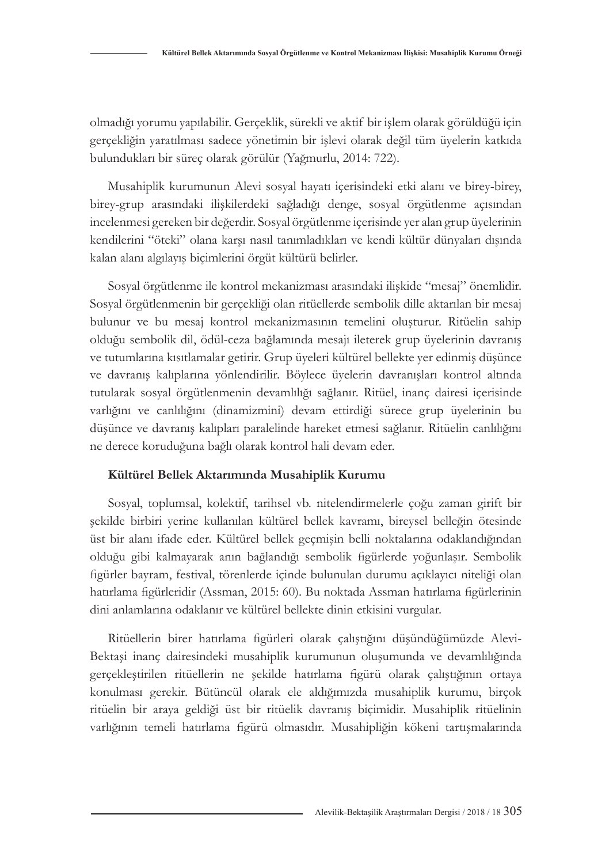olmadığı yorumu yapılabilir. Gerçeklik, sürekli ve aktif bir işlem olarak görüldüğü için gerçekliğin yaratılması sadece yönetimin bir işlevi olarak değil tüm üyelerin katkıda bulundukları bir süreç olarak görülür (Yağmurlu, 2014: 722).

Musahiplik kurumunun Alevi sosyal hayatı içerisindeki etki alanı ve birey-birey, birey-grup arasındaki ilişkilerdeki sağladığı denge, sosyal örgütlenme açısından incelenmesi gereken bir değerdir. Sosyal örgütlenme içerisinde yer alan grup üyelerinin kendilerini "öteki" olana karşı nasıl tanımladıkları ve kendi kültür dünyaları dışında kalan alanı algılayış biçimlerini örgüt kültürü belirler.

Sosyal örgütlenme ile kontrol mekanizması arasındaki ilişkide "mesaj" önemlidir. Sosyal örgütlenmenin bir gerçekliği olan ritüellerde sembolik dille aktarılan bir mesaj bulunur ve bu mesaj kontrol mekanizmasının temelini oluşturur. Ritüelin sahip olduğu sembolik dil, ödül-ceza bağlamında mesajı ileterek grup üyelerinin davranış ve tutumlarına kısıtlamalar getirir. Grup üyeleri kültürel bellekte yer edinmiş düşünce ve davranış kalıplarına yönlendirilir. Böylece üyelerin davranışları kontrol altında tutularak sosyal örgütlenmenin devamlılığı sağlanır. Ritüel, inanç dairesi içerisinde varlığını ve canlılığını (dinamizmini) devam ettirdiği sürece grup üyelerinin bu düşünce ve davranış kalıpları paralelinde hareket etmesi sağlanır. Ritüelin canlılığını ne derece koruduğuna bağlı olarak kontrol hali devam eder.

#### **Kültürel Bellek Aktarımında Musahiplik Kurumu**

Sosyal, toplumsal, kolektif, tarihsel vb. nitelendirmelerle çoğu zaman girift bir şekilde birbiri yerine kullanılan kültürel bellek kavramı, bireysel belleğin ötesinde üst bir alanı ifade eder. Kültürel bellek geçmişin belli noktalarına odaklandığından olduğu gibi kalmayarak anın bağlandığı sembolik figürlerde yoğunlaşır. Sembolik figürler bayram, festival, törenlerde içinde bulunulan durumu açıklayıcı niteliği olan hatırlama figürleridir (Assman, 2015: 60). Bu noktada Assman hatırlama figürlerinin dini anlamlarına odaklanır ve kültürel bellekte dinin etkisini vurgular.

Ritüellerin birer hatırlama figürleri olarak çalıştığını düşündüğümüzde Alevi-Bektaşi inanç dairesindeki musahiplik kurumunun oluşumunda ve devamlılığında gerçekleştirilen ritüellerin ne şekilde hatırlama figürü olarak çalıştığının ortaya konulması gerekir. Bütüncül olarak ele aldığımızda musahiplik kurumu, birçok ritüelin bir araya geldiği üst bir ritüelik davranış biçimidir. Musahiplik ritüelinin varlığının temeli hatırlama figürü olmasıdır. Musahipliğin kökeni tartışmalarında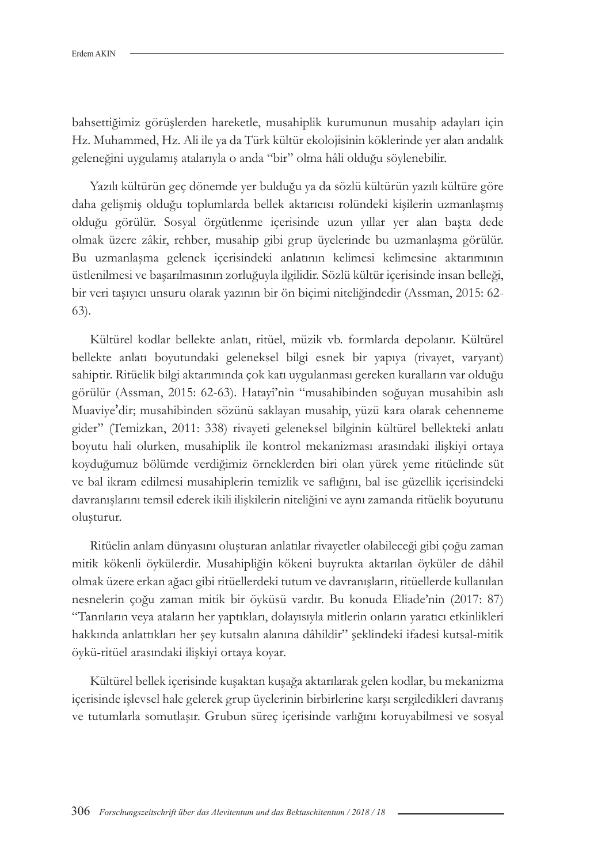bahsettiğimiz görüşlerden hareketle, musahiplik kurumunun musahip adayları için Hz. Muhammed, Hz. Ali ile ya da Türk kültür ekolojisinin köklerinde yer alan andalık geleneğini uygulamış atalarıyla o anda "bir" olma hâli olduğu söylenebilir.

Yazılı kültürün geç dönemde yer bulduğu ya da sözlü kültürün yazılı kültüre göre daha gelişmiş olduğu toplumlarda bellek aktarıcısı rolündeki kişilerin uzmanlaşmış olduğu görülür. Sosyal örgütlenme içerisinde uzun yıllar yer alan başta dede olmak üzere zâkir, rehber, musahip gibi grup üyelerinde bu uzmanlaşma görülür. Bu uzmanlaşma gelenek içerisindeki anlatının kelimesi kelimesine aktarımının üstlenilmesi ve başarılmasının zorluğuyla ilgilidir. Sözlü kültür içerisinde insan belleği, bir veri taşıyıcı unsuru olarak yazının bir ön biçimi niteliğindedir (Assman, 2015: 62- 63).

Kültürel kodlar bellekte anlatı, ritüel, müzik vb. formlarda depolanır. Kültürel bellekte anlatı boyutundaki geleneksel bilgi esnek bir yapıya (rivayet, varyant) sahiptir. Ritüelik bilgi aktarımında çok katı uygulanması gereken kuralların var olduğu görülür (Assman, 2015: 62-63). Hatayî'nin "musahibinden soğuyan musahibin aslı Muaviye'dir; musahibinden sözünü saklayan musahip, yüzü kara olarak cehenneme gider" (Temizkan, 2011: 338) rivayeti geleneksel bilginin kültürel bellekteki anlatı boyutu hali olurken, musahiplik ile kontrol mekanizması arasındaki ilişkiyi ortaya koyduğumuz bölümde verdiğimiz örneklerden biri olan yürek yeme ritüelinde süt ve bal ikram edilmesi musahiplerin temizlik ve saflığını, bal ise güzellik içerisindeki davranışlarını temsil ederek ikili ilişkilerin niteliğini ve aynı zamanda ritüelik boyutunu oluşturur.

Ritüelin anlam dünyasını oluşturan anlatılar rivayetler olabileceği gibi çoğu zaman mitik kökenli öykülerdir. Musahipliğin kökeni buyrukta aktarılan öyküler de dâhil olmak üzere erkan ağacı gibi ritüellerdeki tutum ve davranışların, ritüellerde kullanılan nesnelerin çoğu zaman mitik bir öyküsü vardır. Bu konuda Eliade'nin (2017: 87) "Tanrıların veya ataların her yaptıkları, dolayısıyla mitlerin onların yaratıcı etkinlikleri hakkında anlattıkları her şey kutsalın alanına dâhildir" şeklindeki ifadesi kutsal-mitik öykü-ritüel arasındaki ilişkiyi ortaya koyar.

Kültürel bellek içerisinde kuşaktan kuşağa aktarılarak gelen kodlar, bu mekanizma içerisinde işlevsel hale gelerek grup üyelerinin birbirlerine karşı sergiledikleri davranış ve tutumlarla somutlaşır. Grubun süreç içerisinde varlığını koruyabilmesi ve sosyal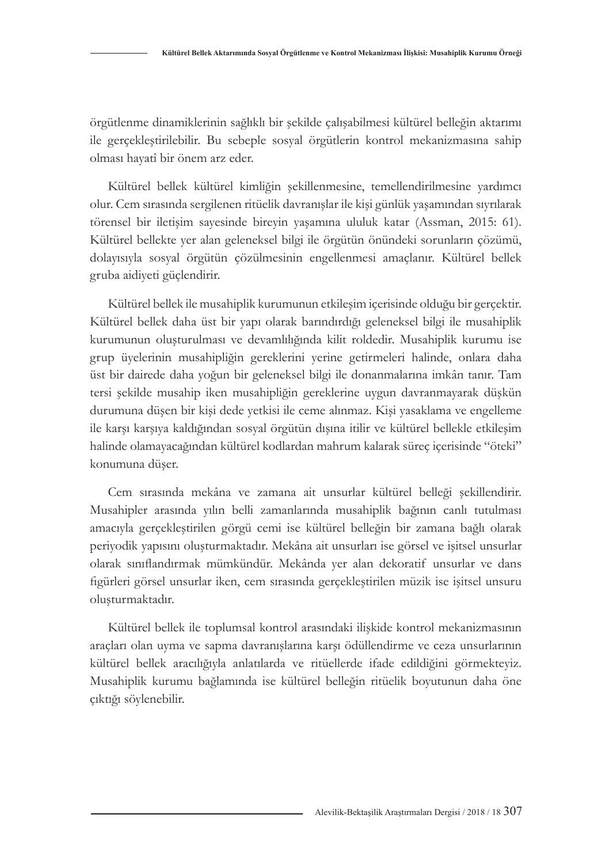örgütlenme dinamiklerinin sağlıklı bir şekilde çalışabilmesi kültürel belleğin aktarımı ile gerçekleştirilebilir. Bu sebeple sosyal örgütlerin kontrol mekanizmasına sahip olması hayatî bir önem arz eder.

Kültürel bellek kültürel kimliğin şekillenmesine, temellendirilmesine yardımcı olur. Cem sırasında sergilenen ritüelik davranışlar ile kişi günlük yaşamından sıyrılarak törensel bir iletişim sayesinde bireyin yaşamına ululuk katar (Assman, 2015: 61). Kültürel bellekte yer alan geleneksel bilgi ile örgütün önündeki sorunların çözümü, dolayısıyla sosyal örgütün çözülmesinin engellenmesi amaçlanır. Kültürel bellek gruba aidiyeti güçlendirir.

Kültürel bellek ile musahiplik kurumunun etkileşim içerisinde olduğu bir gerçektir. Kültürel bellek daha üst bir yapı olarak barındırdığı geleneksel bilgi ile musahiplik kurumunun oluşturulması ve devamlılığında kilit roldedir. Musahiplik kurumu ise grup üyelerinin musahipliğin gereklerini yerine getirmeleri halinde, onlara daha üst bir dairede daha yoğun bir geleneksel bilgi ile donanmalarına imkân tanır. Tam tersi şekilde musahip iken musahipliğin gereklerine uygun davranmayarak düşkün durumuna düşen bir kişi dede yetkisi ile ceme alınmaz. Kişi yasaklama ve engelleme ile karşı karşıya kaldığından sosyal örgütün dışına itilir ve kültürel bellekle etkileşim halinde olamayacağından kültürel kodlardan mahrum kalarak süreç içerisinde "öteki" konumuna düşer.

Cem sırasında mekâna ve zamana ait unsurlar kültürel belleği şekillendirir. Musahipler arasında yılın belli zamanlarında musahiplik bağının canlı tutulması amacıyla gerçekleştirilen görgü cemi ise kültürel belleğin bir zamana bağlı olarak periyodik yapısını oluşturmaktadır. Mekâna ait unsurları ise görsel ve işitsel unsurlar olarak sınıflandırmak mümkündür. Mekânda yer alan dekoratif unsurlar ve dans figürleri görsel unsurlar iken, cem sırasında gerçekleştirilen müzik ise işitsel unsuru oluşturmaktadır.

Kültürel bellek ile toplumsal kontrol arasındaki ilişkide kontrol mekanizmasının araçları olan uyma ve sapma davranışlarına karşı ödüllendirme ve ceza unsurlarının kültürel bellek aracılığıyla anlatılarda ve ritüellerde ifade edildiğini görmekteyiz. Musahiplik kurumu bağlamında ise kültürel belleğin ritüelik boyutunun daha öne çıktığı söylenebilir.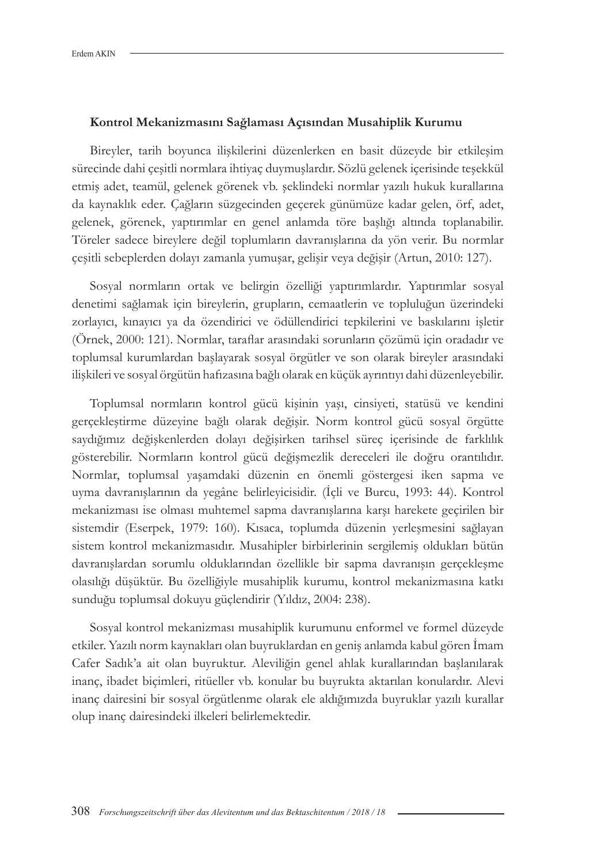#### **Kontrol Mekanizmasını Sağlaması Açısından Musahiplik Kurumu**

Bireyler, tarih boyunca ilişkilerini düzenlerken en basit düzeyde bir etkileşim sürecinde dahi çeşitli normlara ihtiyaç duymuşlardır. Sözlü gelenek içerisinde teşekkül etmiş adet, teamül, gelenek görenek vb. şeklindeki normlar yazılı hukuk kurallarına da kaynaklık eder. Çağların süzgecinden geçerek günümüze kadar gelen, örf, adet, gelenek, görenek, yaptırımlar en genel anlamda töre başlığı altında toplanabilir. Töreler sadece bireylere değil toplumların davranışlarına da yön verir. Bu normlar çeşitli sebeplerden dolayı zamanla yumuşar, gelişir veya değişir (Artun, 2010: 127).

Sosyal normların ortak ve belirgin özelliği yaptırımlardır. Yaptırımlar sosyal denetimi sağlamak için bireylerin, grupların, cemaatlerin ve topluluğun üzerindeki zorlayıcı, kınayıcı ya da özendirici ve ödüllendirici tepkilerini ve baskılarını işletir (Örnek, 2000: 121). Normlar, taraflar arasındaki sorunların çözümü için oradadır ve toplumsal kurumlardan başlayarak sosyal örgütler ve son olarak bireyler arasındaki ilişkileri ve sosyal örgütün hafızasına bağlı olarak en küçük ayrıntıyı dahi düzenleyebilir.

Toplumsal normların kontrol gücü kişinin yaşı, cinsiyeti, statüsü ve kendini gerçekleştirme düzeyine bağlı olarak değişir. Norm kontrol gücü sosyal örgütte saydığımız değişkenlerden dolayı değişirken tarihsel süreç içerisinde de farklılık gösterebilir. Normların kontrol gücü değişmezlik dereceleri ile doğru orantılıdır. Normlar, toplumsal yaşamdaki düzenin en önemli göstergesi iken sapma ve uyma davranışlarının da yegâne belirleyicisidir. (İçli ve Burcu, 1993: 44). Kontrol mekanizması ise olması muhtemel sapma davranışlarına karşı harekete geçirilen bir sistemdir (Eserpek, 1979: 160). Kısaca, toplumda düzenin yerleşmesini sağlayan sistem kontrol mekanizmasıdır. Musahipler birbirlerinin sergilemiş oldukları bütün davranışlardan sorumlu olduklarından özellikle bir sapma davranışın gerçekleşme olasılığı düşüktür. Bu özelliğiyle musahiplik kurumu, kontrol mekanizmasına katkı sunduğu toplumsal dokuyu güçlendirir (Yıldız, 2004: 238).

Sosyal kontrol mekanizması musahiplik kurumunu enformel ve formel düzeyde etkiler. Yazılı norm kaynakları olan buyruklardan en geniş anlamda kabul gören İmam Cafer Sadık'a ait olan buyruktur. Aleviliğin genel ahlak kurallarından başlanılarak inanç, ibadet biçimleri, ritüeller vb. konular bu buyrukta aktarılan konulardır. Alevi inanç dairesini bir sosyal örgütlenme olarak ele aldığımızda buyruklar yazılı kurallar olup inanç dairesindeki ilkeleri belirlemektedir.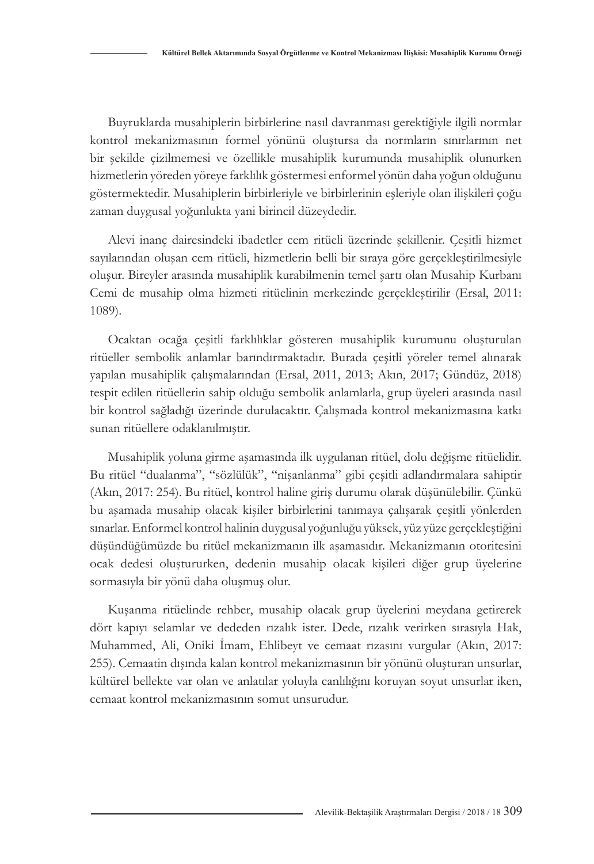Buyruklarda musahiplerin birbirlerine nasıl davranması gerektiğiyle ilgili normlar kontrol mekanizmasının formel yönünü oluştursa da normların sınırlarının net bir şekilde çizilmemesi ve özellikle musahiplik kurumunda musahiplik olunurken hizmetlerin yöreden yöreye farklılık göstermesi enformel yönün daha yoğun olduğunu göstermektedir. Musahiplerin birbirleriyle ve birbirlerinin eşleriyle olan ilişkileri çoğu zaman duygusal yoğunlukta yani birincil düzeydedir.

Alevi inanç dairesindeki ibadetler cem ritüeli üzerinde şekillenir. Çeşitli hizmet sayılarından oluşan cem ritüeli, hizmetlerin belli bir sıraya göre gerçekleştirilmesiyle oluşur. Bireyler arasında musahiplik kurabilmenin temel şartı olan Musahip Kurbanı Cemi de musahip olma hizmeti ritüelinin merkezinde gerçekleştirilir (Ersal, 2011: 1089).

Ocaktan ocağa çeşitli farklılıklar gösteren musahiplik kurumunu oluşturulan ritüeller sembolik anlamlar barındırmaktadır. Burada çeşitli yöreler temel alınarak yapılan musahiplik çalışmalarından (Ersal, 2011, 2013; Akın, 2017; Gündüz, 2018) tespit edilen ritüellerin sahip olduğu sembolik anlamlarla, grup üyeleri arasında nasıl bir kontrol sağladığı üzerinde durulacaktır. Çalışmada kontrol mekanizmasına katkı sunan ritüellere odaklanılmıştır.

Musahiplik yoluna girme aşamasında ilk uygulanan ritüel, dolu değişme ritüelidir. Bu ritüel "dualanma", "sözlülük", "nişanlanma" gibi çeşitli adlandırmalara sahiptir (Akın, 2017: 254). Bu ritüel, kontrol haline giriş durumu olarak düşünülebilir. Çünkü bu aşamada musahip olacak kişiler birbirlerini tanımaya çalışarak çeşitli yönlerden sınarlar. Enformel kontrol halinin duygusal yoğunluğu yüksek, yüz yüze gerçekleştiğini düşündüğümüzde bu ritüel mekanizmanın ilk aşamasıdır. Mekanizmanın otoritesini ocak dedesi oluştururken, dedenin musahip olacak kişileri diğer grup üyelerine sormasıyla bir yönü daha oluşmuş olur.

Kuşanma ritüelinde rehber, musahip olacak grup üyelerini meydana getirerek dört kapıyı selamlar ve dededen rızalık ister. Dede, rızalık verirken sırasıyla Hak, Muhammed, Ali, Oniki İmam, Ehlibeyt ve cemaat rızasını vurgular (Akın, 2017: 255). Cemaatin dışında kalan kontrol mekanizmasının bir yönünü oluşturan unsurlar, kültürel bellekte var olan ve anlatılar yoluyla canlılığını koruyan soyut unsurlar iken, cemaat kontrol mekanizmasının somut unsurudur.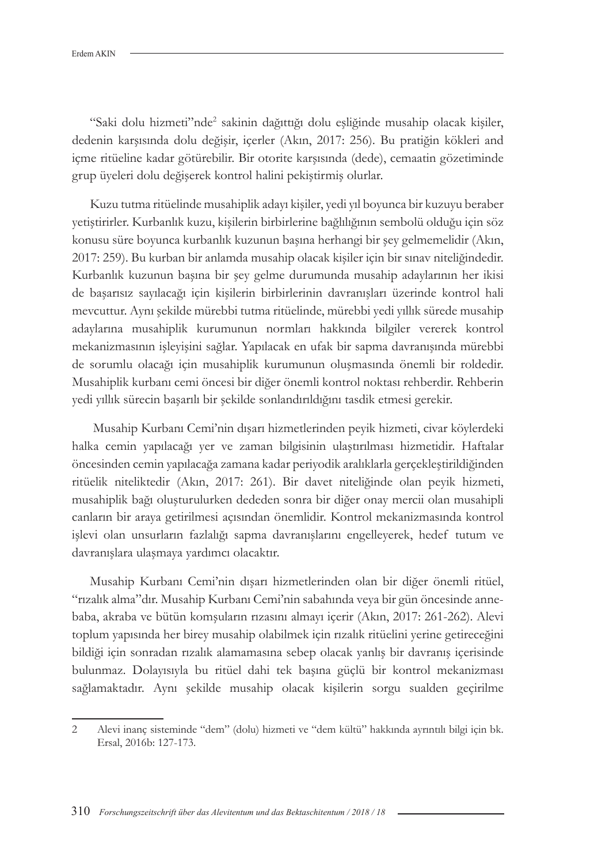"Saki dolu hizmeti"nde2 sakinin dağıttığı dolu eşliğinde musahip olacak kişiler, dedenin karşısında dolu değişir, içerler (Akın, 2017: 256). Bu pratiğin kökleri and içme ritüeline kadar götürebilir. Bir otorite karşısında (dede), cemaatin gözetiminde grup üyeleri dolu değişerek kontrol halini pekiştirmiş olurlar.

Kuzu tutma ritüelinde musahiplik adayı kişiler, yedi yıl boyunca bir kuzuyu beraber yetiştirirler. Kurbanlık kuzu, kişilerin birbirlerine bağlılığının sembolü olduğu için söz konusu süre boyunca kurbanlık kuzunun başına herhangi bir şey gelmemelidir (Akın, 2017: 259). Bu kurban bir anlamda musahip olacak kişiler için bir sınav niteliğindedir. Kurbanlık kuzunun başına bir şey gelme durumunda musahip adaylarının her ikisi de başarısız sayılacağı için kişilerin birbirlerinin davranışları üzerinde kontrol hali mevcuttur. Aynı şekilde mürebbi tutma ritüelinde, mürebbi yedi yıllık sürede musahip adaylarına musahiplik kurumunun normları hakkında bilgiler vererek kontrol mekanizmasının işleyişini sağlar. Yapılacak en ufak bir sapma davranışında mürebbi de sorumlu olacağı için musahiplik kurumunun oluşmasında önemli bir roldedir. Musahiplik kurbanı cemi öncesi bir diğer önemli kontrol noktası rehberdir. Rehberin yedi yıllık sürecin başarılı bir şekilde sonlandırıldığını tasdik etmesi gerekir.

 Musahip Kurbanı Cemi'nin dışarı hizmetlerinden peyik hizmeti, civar köylerdeki halka cemin yapılacağı yer ve zaman bilgisinin ulaştırılması hizmetidir. Haftalar öncesinden cemin yapılacağa zamana kadar periyodik aralıklarla gerçekleştirildiğinden ritüelik niteliktedir (Akın, 2017: 261). Bir davet niteliğinde olan peyik hizmeti, musahiplik bağı oluşturulurken dededen sonra bir diğer onay mercii olan musahipli canların bir araya getirilmesi açısından önemlidir. Kontrol mekanizmasında kontrol işlevi olan unsurların fazlalığı sapma davranışlarını engelleyerek, hedef tutum ve davranışlara ulaşmaya yardımcı olacaktır.

Musahip Kurbanı Cemi'nin dışarı hizmetlerinden olan bir diğer önemli ritüel, "rızalık alma"dır. Musahip Kurbanı Cemi'nin sabahında veya bir gün öncesinde annebaba, akraba ve bütün komşuların rızasını almayı içerir (Akın, 2017: 261-262). Alevi toplum yapısında her birey musahip olabilmek için rızalık ritüelini yerine getireceğini bildiği için sonradan rızalık alamamasına sebep olacak yanlış bir davranış içerisinde bulunmaz. Dolayısıyla bu ritüel dahi tek başına güçlü bir kontrol mekanizması sağlamaktadır. Aynı şekilde musahip olacak kişilerin sorgu sualden geçirilme

<sup>2</sup> Alevi inanç sisteminde "dem" (dolu) hizmeti ve "dem kültü" hakkında ayrıntılı bilgi için bk. Ersal, 2016b: 127-173.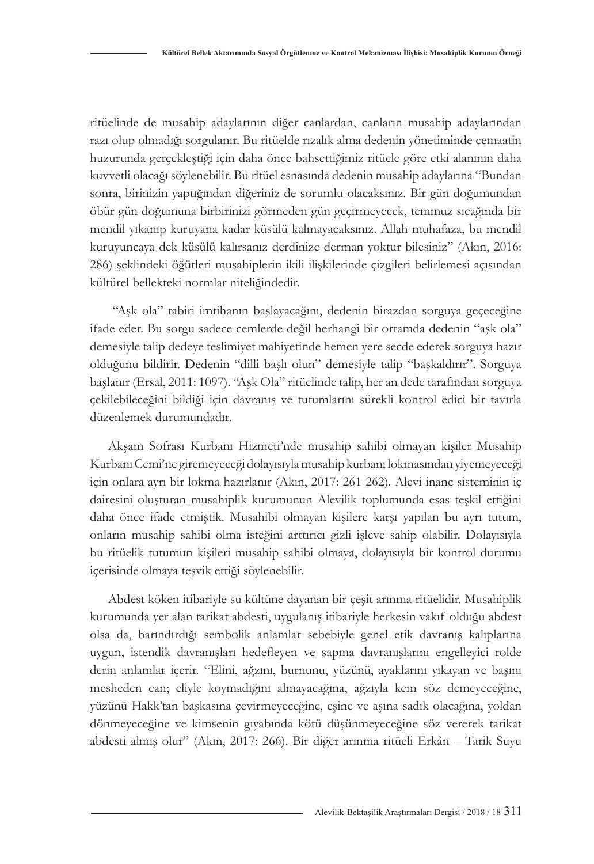ritüelinde de musahip adaylarının diğer canlardan, canların musahip adaylarından razı olup olmadığı sorgulanır. Bu ritüelde rızalık alma dedenin yönetiminde cemaatin huzurunda gerçekleştiği için daha önce bahsettiğimiz ritüele göre etki alanının daha kuvvetli olacağı söylenebilir. Bu ritüel esnasında dedenin musahip adaylarına "Bundan sonra, birinizin yaptığından diğeriniz de sorumlu olacaksınız. Bir gün doğumundan öbür gün doğumuna birbirinizi görmeden gün geçirmeyecek, temmuz sıcağında bir mendil yıkanıp kuruyana kadar küsülü kalmayacaksınız. Allah muhafaza, bu mendil kuruyuncaya dek küsülü kalırsanız derdinize derman yoktur bilesiniz" (Akın, 2016: 286) şeklindeki öğütleri musahiplerin ikili ilişkilerinde çizgileri belirlemesi açısından kültürel bellekteki normlar niteliğindedir.

 "Aşk ola" tabiri imtihanın başlayacağını, dedenin birazdan sorguya geçeceğine ifade eder. Bu sorgu sadece cemlerde değil herhangi bir ortamda dedenin "aşk ola" demesiyle talip dedeye teslimiyet mahiyetinde hemen yere secde ederek sorguya hazır olduğunu bildirir. Dedenin "dilli başlı olun" demesiyle talip "başkaldırır". Sorguya başlanır (Ersal, 2011: 1097). "Aşk Ola" ritüelinde talip, her an dede tarafından sorguya çekilebileceğini bildiği için davranış ve tutumlarını sürekli kontrol edici bir tavırla düzenlemek durumundadır.

Akşam Sofrası Kurbanı Hizmeti'nde musahip sahibi olmayan kişiler Musahip Kurbanı Cemi'ne giremeyeceği dolayısıyla musahip kurbanı lokmasından yiyemeyeceği için onlara ayrı bir lokma hazırlanır (Akın, 2017: 261-262). Alevi inanç sisteminin iç dairesini oluşturan musahiplik kurumunun Alevilik toplumunda esas teşkil ettiğini daha önce ifade etmiştik. Musahibi olmayan kişilere karşı yapılan bu ayrı tutum, onların musahip sahibi olma isteğini arttırıcı gizli işleve sahip olabilir. Dolayısıyla bu ritüelik tutumun kişileri musahip sahibi olmaya, dolayısıyla bir kontrol durumu içerisinde olmaya teşvik ettiği söylenebilir.

Abdest köken itibariyle su kültüne dayanan bir çeşit arınma ritüelidir. Musahiplik kurumunda yer alan tarikat abdesti, uygulanış itibariyle herkesin vakıf olduğu abdest olsa da, barındırdığı sembolik anlamlar sebebiyle genel etik davranış kalıplarına uygun, istendik davranışları hedefleyen ve sapma davranışlarını engelleyici rolde derin anlamlar içerir. "Elini, ağzını, burnunu, yüzünü, ayaklarını yıkayan ve başını mesheden can; eliyle koymadığını almayacağına, ağzıyla kem söz demeyeceğine, yüzünü Hakk'tan başkasına çevirmeyeceğine, eşine ve aşına sadık olacağına, yoldan dönmeyeceğine ve kimsenin gıyabında kötü düşünmeyeceğine söz vererek tarikat abdesti almış olur" (Akın, 2017: 266). Bir diğer arınma ritüeli Erkân – Tarik Suyu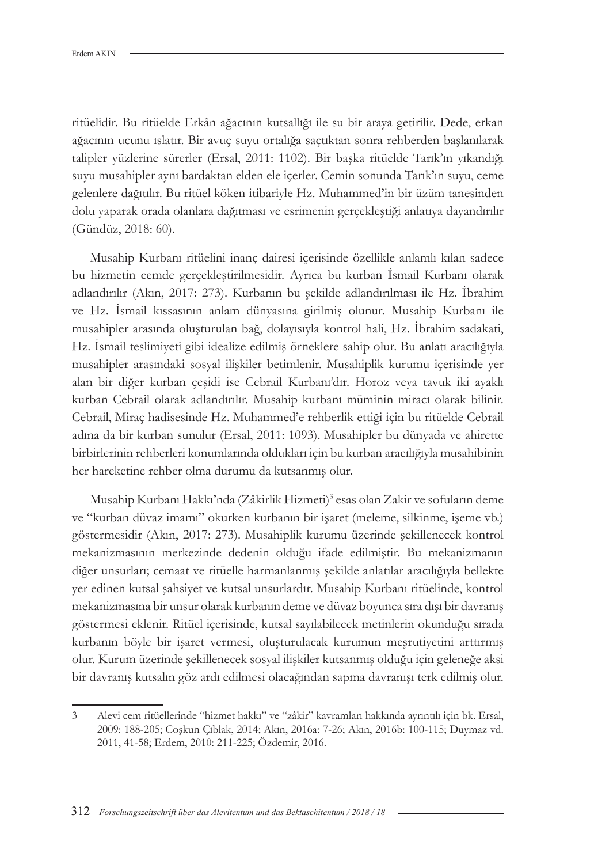ritüelidir. Bu ritüelde Erkân ağacının kutsallığı ile su bir araya getirilir. Dede, erkan ağacının ucunu ıslatır. Bir avuç suyu ortalığa saçtıktan sonra rehberden başlanılarak talipler yüzlerine sürerler (Ersal, 2011: 1102). Bir başka ritüelde Tarık'ın yıkandığı suyu musahipler aynı bardaktan elden ele içerler. Cemin sonunda Tarık'ın suyu, ceme gelenlere dağıtılır. Bu ritüel köken itibariyle Hz. Muhammed'in bir üzüm tanesinden dolu yaparak orada olanlara dağıtması ve esrimenin gerçekleştiği anlatıya dayandırılır (Gündüz, 2018: 60).

Musahip Kurbanı ritüelini inanç dairesi içerisinde özellikle anlamlı kılan sadece bu hizmetin cemde gerçekleştirilmesidir. Ayrıca bu kurban İsmail Kurbanı olarak adlandırılır (Akın, 2017: 273). Kurbanın bu şekilde adlandırılması ile Hz. İbrahim ve Hz. İsmail kıssasının anlam dünyasına girilmiş olunur. Musahip Kurbanı ile musahipler arasında oluşturulan bağ, dolayısıyla kontrol hali, Hz. İbrahim sadakati, Hz. İsmail teslimiyeti gibi idealize edilmiş örneklere sahip olur. Bu anlatı aracılığıyla musahipler arasındaki sosyal ilişkiler betimlenir. Musahiplik kurumu içerisinde yer alan bir diğer kurban çeşidi ise Cebrail Kurbanı'dır. Horoz veya tavuk iki ayaklı kurban Cebrail olarak adlandırılır. Musahip kurbanı müminin miracı olarak bilinir. Cebrail, Miraç hadisesinde Hz. Muhammed'e rehberlik ettiği için bu ritüelde Cebrail adına da bir kurban sunulur (Ersal, 2011: 1093). Musahipler bu dünyada ve ahirette birbirlerinin rehberleri konumlarında oldukları için bu kurban aracılığıyla musahibinin her hareketine rehber olma durumu da kutsanmış olur.

Musahip Kurbanı Hakkı'nda (Zâkirlik Hizmeti)<sup>3</sup> esas olan Zakir ve sofuların deme ve "kurban düvaz imamı" okurken kurbanın bir işaret (meleme, silkinme, işeme vb.) göstermesidir (Akın, 2017: 273). Musahiplik kurumu üzerinde şekillenecek kontrol mekanizmasının merkezinde dedenin olduğu ifade edilmiştir. Bu mekanizmanın diğer unsurları; cemaat ve ritüelle harmanlanmış şekilde anlatılar aracılığıyla bellekte yer edinen kutsal şahsiyet ve kutsal unsurlardır. Musahip Kurbanı ritüelinde, kontrol mekanizmasına bir unsur olarak kurbanın deme ve düvaz boyunca sıra dışı bir davranış göstermesi eklenir. Ritüel içerisinde, kutsal sayılabilecek metinlerin okunduğu sırada kurbanın böyle bir işaret vermesi, oluşturulacak kurumun meşrutiyetini arttırmış olur. Kurum üzerinde şekillenecek sosyal ilişkiler kutsanmış olduğu için geleneğe aksi bir davranış kutsalın göz ardı edilmesi olacağından sapma davranışı terk edilmiş olur.

<sup>3</sup> Alevi cem ritüellerinde "hizmet hakkı" ve "zâkir" kavramları hakkında ayrıntılı için bk. Ersal, 2009: 188-205; Coşkun Çıblak, 2014; Akın, 2016a: 7-26; Akın, 2016b: 100-115; Duymaz vd. 2011, 41-58; Erdem, 2010: 211-225; Özdemir, 2016.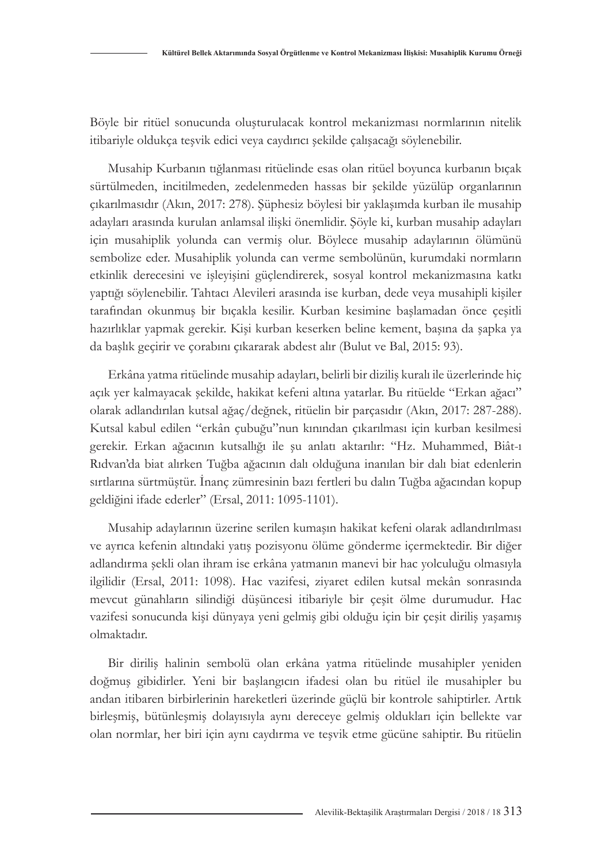Böyle bir ritüel sonucunda oluşturulacak kontrol mekanizması normlarının nitelik itibariyle oldukça teşvik edici veya caydırıcı şekilde çalışacağı söylenebilir.

Musahip Kurbanın tığlanması ritüelinde esas olan ritüel boyunca kurbanın bıçak sürtülmeden, incitilmeden, zedelenmeden hassas bir şekilde yüzülüp organlarının çıkarılmasıdır (Akın, 2017: 278). Şüphesiz böylesi bir yaklaşımda kurban ile musahip adayları arasında kurulan anlamsal ilişki önemlidir. Şöyle ki, kurban musahip adayları için musahiplik yolunda can vermiş olur. Böylece musahip adaylarının ölümünü sembolize eder. Musahiplik yolunda can verme sembolünün, kurumdaki normların etkinlik derecesini ve işleyişini güçlendirerek, sosyal kontrol mekanizmasına katkı yaptığı söylenebilir. Tahtacı Alevileri arasında ise kurban, dede veya musahipli kişiler tarafından okunmuş bir bıçakla kesilir. Kurban kesimine başlamadan önce çeşitli hazırlıklar yapmak gerekir. Kişi kurban keserken beline kement, başına da şapka ya da başlık geçirir ve çorabını çıkararak abdest alır (Bulut ve Bal, 2015: 93).

Erkâna yatma ritüelinde musahip adayları, belirli bir diziliş kuralı ile üzerlerinde hiç açık yer kalmayacak şekilde, hakikat kefeni altına yatarlar. Bu ritüelde "Erkan ağacı" olarak adlandırılan kutsal ağaç/değnek, ritüelin bir parçasıdır (Akın, 2017: 287-288). Kutsal kabul edilen "erkân çubuğu"nun kınından çıkarılması için kurban kesilmesi gerekir. Erkan ağacının kutsallığı ile şu anlatı aktarılır: "Hz. Muhammed, Biât-ı Rıdvan'da biat alırken Tuğba ağacının dalı olduğuna inanılan bir dalı biat edenlerin sırtlarına sürtmüştür. İnanç zümresinin bazı fertleri bu dalın Tuğba ağacından kopup geldiğini ifade ederler" (Ersal, 2011: 1095-1101).

Musahip adaylarının üzerine serilen kumaşın hakikat kefeni olarak adlandırılması ve ayrıca kefenin altındaki yatış pozisyonu ölüme gönderme içermektedir. Bir diğer adlandırma şekli olan ihram ise erkâna yatmanın manevi bir hac yolculuğu olmasıyla ilgilidir (Ersal, 2011: 1098). Hac vazifesi, ziyaret edilen kutsal mekân sonrasında mevcut günahların silindiği düşüncesi itibariyle bir çeşit ölme durumudur. Hac vazifesi sonucunda kişi dünyaya yeni gelmiş gibi olduğu için bir çeşit diriliş yaşamış olmaktadır.

Bir diriliş halinin sembolü olan erkâna yatma ritüelinde musahipler yeniden doğmuş gibidirler. Yeni bir başlangıcın ifadesi olan bu ritüel ile musahipler bu andan itibaren birbirlerinin hareketleri üzerinde güçlü bir kontrole sahiptirler. Artık birleşmiş, bütünleşmiş dolayısıyla aynı dereceye gelmiş oldukları için bellekte var olan normlar, her biri için aynı caydırma ve teşvik etme gücüne sahiptir. Bu ritüelin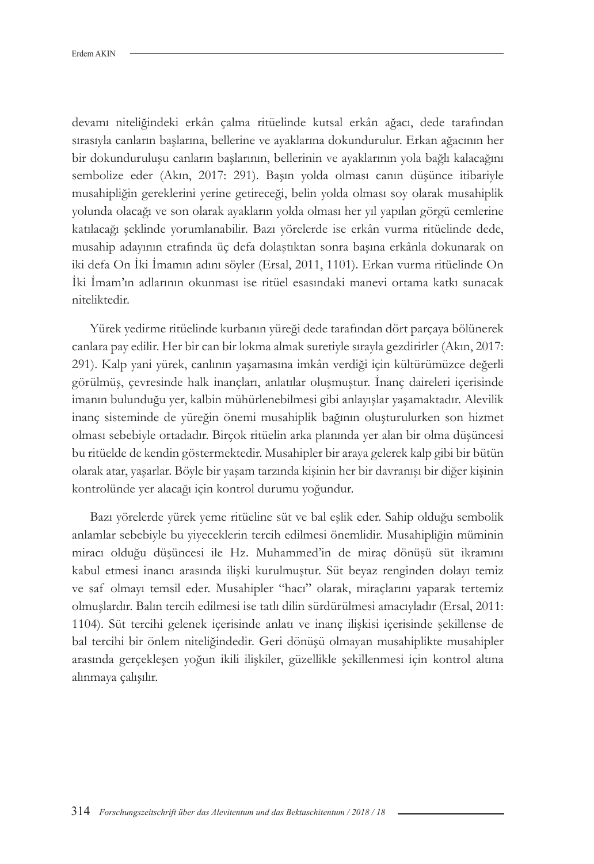devamı niteliğindeki erkân çalma ritüelinde kutsal erkân ağacı, dede tarafından sırasıyla canların başlarına, bellerine ve ayaklarına dokundurulur. Erkan ağacının her bir dokunduruluşu canların başlarının, bellerinin ve ayaklarının yola bağlı kalacağını sembolize eder (Akın, 2017: 291). Başın yolda olması canın düşünce itibariyle musahipliğin gereklerini yerine getireceği, belin yolda olması soy olarak musahiplik yolunda olacağı ve son olarak ayakların yolda olması her yıl yapılan görgü cemlerine katılacağı şeklinde yorumlanabilir. Bazı yörelerde ise erkân vurma ritüelinde dede, musahip adayının etrafında üç defa dolaştıktan sonra başına erkânla dokunarak on iki defa On İki İmamın adını söyler (Ersal, 2011, 1101). Erkan vurma ritüelinde On İki İmam'ın adlarının okunması ise ritüel esasındaki manevi ortama katkı sunacak niteliktedir.

Yürek yedirme ritüelinde kurbanın yüreği dede tarafından dört parçaya bölünerek canlara pay edilir. Her bir can bir lokma almak suretiyle sırayla gezdirirler (Akın, 2017: 291). Kalp yani yürek, canlının yaşamasına imkân verdiği için kültürümüzce değerli görülmüş, çevresinde halk inançları, anlatılar oluşmuştur. İnanç daireleri içerisinde imanın bulunduğu yer, kalbin mühürlenebilmesi gibi anlayışlar yaşamaktadır. Alevilik inanç sisteminde de yüreğin önemi musahiplik bağının oluşturulurken son hizmet olması sebebiyle ortadadır. Birçok ritüelin arka planında yer alan bir olma düşüncesi bu ritüelde de kendin göstermektedir. Musahipler bir araya gelerek kalp gibi bir bütün olarak atar, yaşarlar. Böyle bir yaşam tarzında kişinin her bir davranışı bir diğer kişinin kontrolünde yer alacağı için kontrol durumu yoğundur.

Bazı yörelerde yürek yeme ritüeline süt ve bal eşlik eder. Sahip olduğu sembolik anlamlar sebebiyle bu yiyeceklerin tercih edilmesi önemlidir. Musahipliğin müminin miracı olduğu düşüncesi ile Hz. Muhammed'in de miraç dönüşü süt ikramını kabul etmesi inancı arasında ilişki kurulmuştur. Süt beyaz renginden dolayı temiz ve saf olmayı temsil eder. Musahipler "hacı" olarak, miraçlarını yaparak tertemiz olmuşlardır. Balın tercih edilmesi ise tatlı dilin sürdürülmesi amacıyladır (Ersal, 2011: 1104). Süt tercihi gelenek içerisinde anlatı ve inanç ilişkisi içerisinde şekillense de bal tercihi bir önlem niteliğindedir. Geri dönüşü olmayan musahiplikte musahipler arasında gerçekleşen yoğun ikili ilişkiler, güzellikle şekillenmesi için kontrol altına alınmaya çalışılır.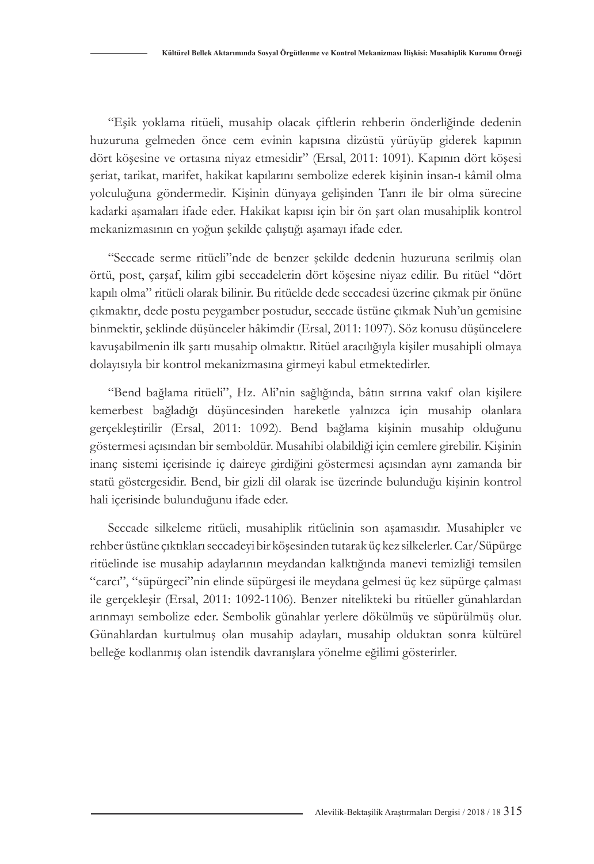"Eşik yoklama ritüeli, musahip olacak çiftlerin rehberin önderliğinde dedenin huzuruna gelmeden önce cem evinin kapısına dizüstü yürüyüp giderek kapının dört köşesine ve ortasına niyaz etmesidir" (Ersal, 2011: 1091). Kapının dört köşesi şeriat, tarikat, marifet, hakikat kapılarını sembolize ederek kişinin insan-ı kâmil olma yolculuğuna göndermedir. Kişinin dünyaya gelişinden Tanrı ile bir olma sürecine kadarki aşamaları ifade eder. Hakikat kapısı için bir ön şart olan musahiplik kontrol mekanizmasının en yoğun şekilde çalıştığı aşamayı ifade eder.

"Seccade serme ritüeli"nde de benzer şekilde dedenin huzuruna serilmiş olan örtü, post, çarşaf, kilim gibi seccadelerin dört köşesine niyaz edilir. Bu ritüel "dört kapılı olma" ritüeli olarak bilinir. Bu ritüelde dede seccadesi üzerine çıkmak pir önüne çıkmaktır, dede postu peygamber postudur, seccade üstüne çıkmak Nuh'un gemisine binmektir, şeklinde düşünceler hâkimdir (Ersal, 2011: 1097). Söz konusu düşüncelere kavuşabilmenin ilk şartı musahip olmaktır. Ritüel aracılığıyla kişiler musahipli olmaya dolayısıyla bir kontrol mekanizmasına girmeyi kabul etmektedirler.

"Bend bağlama ritüeli", Hz. Ali'nin sağlığında, bâtın sırrına vakıf olan kişilere kemerbest bağladığı düşüncesinden hareketle yalnızca için musahip olanlara gerçekleştirilir (Ersal, 2011: 1092). Bend bağlama kişinin musahip olduğunu göstermesi açısından bir semboldür. Musahibi olabildiği için cemlere girebilir. Kişinin inanç sistemi içerisinde iç daireye girdiğini göstermesi açısından aynı zamanda bir statü göstergesidir. Bend, bir gizli dil olarak ise üzerinde bulunduğu kişinin kontrol hali içerisinde bulunduğunu ifade eder.

Seccade silkeleme ritüeli, musahiplik ritüelinin son aşamasıdır. Musahipler ve rehber üstüne çıktıkları seccadeyi bir köşesinden tutarak üç kez silkelerler. Car/Süpürge ritüelinde ise musahip adaylarının meydandan kalktığında manevi temizliği temsilen "carcı", "süpürgeci"nin elinde süpürgesi ile meydana gelmesi üç kez süpürge çalması ile gerçekleşir (Ersal, 2011: 1092-1106). Benzer nitelikteki bu ritüeller günahlardan arınmayı sembolize eder. Sembolik günahlar yerlere dökülmüş ve süpürülmüş olur. Günahlardan kurtulmuş olan musahip adayları, musahip olduktan sonra kültürel belleğe kodlanmış olan istendik davranışlara yönelme eğilimi gösterirler.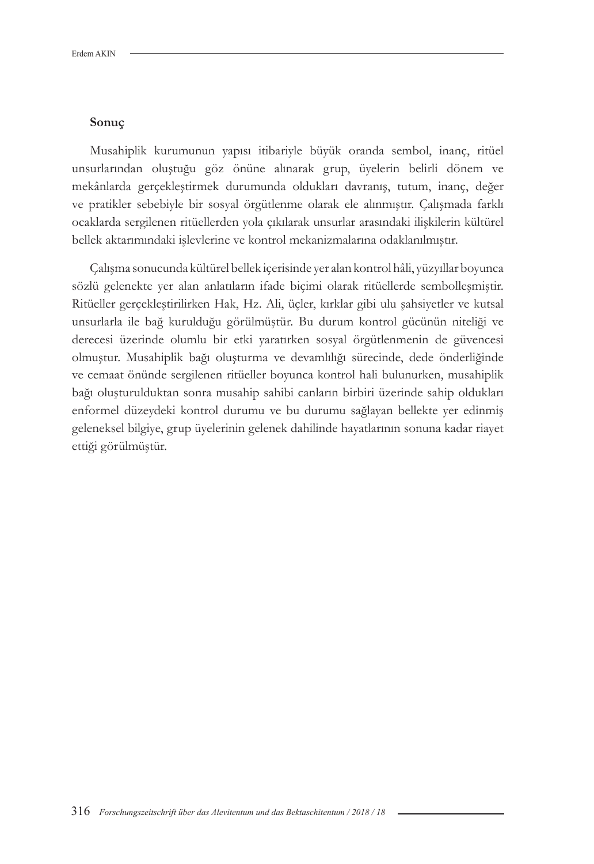#### **Sonuç**

Musahiplik kurumunun yapısı itibariyle büyük oranda sembol, inanç, ritüel unsurlarından oluştuğu göz önüne alınarak grup, üyelerin belirli dönem ve mekânlarda gerçekleştirmek durumunda oldukları davranış, tutum, inanç, değer ve pratikler sebebiyle bir sosyal örgütlenme olarak ele alınmıştır. Çalışmada farklı ocaklarda sergilenen ritüellerden yola çıkılarak unsurlar arasındaki ilişkilerin kültürel bellek aktarımındaki işlevlerine ve kontrol mekanizmalarına odaklanılmıştır.

Çalışma sonucunda kültürel bellek içerisinde yer alan kontrol hâli, yüzyıllar boyunca sözlü gelenekte yer alan anlatıların ifade biçimi olarak ritüellerde sembolleşmiştir. Ritüeller gerçekleştirilirken Hak, Hz. Ali, üçler, kırklar gibi ulu şahsiyetler ve kutsal unsurlarla ile bağ kurulduğu görülmüştür. Bu durum kontrol gücünün niteliği ve derecesi üzerinde olumlu bir etki yaratırken sosyal örgütlenmenin de güvencesi olmuştur. Musahiplik bağı oluşturma ve devamlılığı sürecinde, dede önderliğinde ve cemaat önünde sergilenen ritüeller boyunca kontrol hali bulunurken, musahiplik bağı oluşturulduktan sonra musahip sahibi canların birbiri üzerinde sahip oldukları enformel düzeydeki kontrol durumu ve bu durumu sağlayan bellekte yer edinmiş geleneksel bilgiye, grup üyelerinin gelenek dahilinde hayatlarının sonuna kadar riayet ettiği görülmüştür.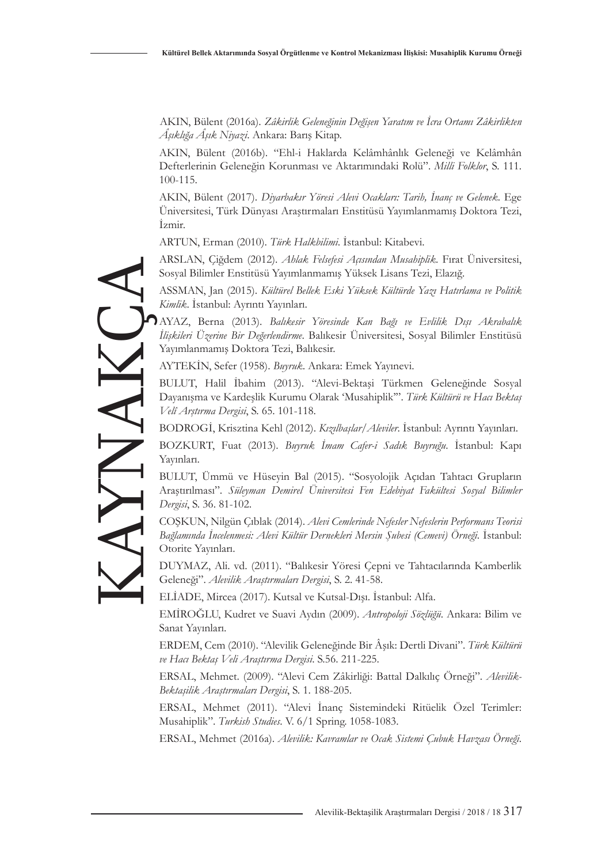AKIN, Bülent (2016a). *Zâkirlik Geleneğinin Değişen Yaratım ve İcra Ortamı Zâkirlikten Âşıklığa Âşık Niyazi*. Ankara: Barış Kitap.

AKIN, Bülent (2016b). "Ehl-i Haklarda Kelâmhânlık Geleneği ve Kelâmhân Defterlerinin Geleneğin Korunması ve Aktarımındaki Rolü". *Milli Folklor*, S. 111. 100-115.

AKIN, Bülent (2017). *Diyarbakır Yöresi Alevi Ocakları: Tarih, İnanç ve Gelenek*. Ege Üniversitesi, Türk Dünyası Araştırmaları Enstitüsü Yayımlanmamış Doktora Tezi, İzmir.

ARTUN, Erman (2010). *Türk Halkbilimi*. İstanbul: Kitabevi.

ARSLAN, Çiğdem (2012). *Ahlak Felsefesi Açısından Musahiplik*. Fırat Üniversitesi, Sosyal Bilimler Enstitüsü Yayımlanmamış Yüksek Lisans Tezi, Elazığ.

ASSMAN, Jan (2015). *Kültürel Bellek Eski Yüksek Kültürde Yazı Hatırlama ve Politik Kimlik*. İstanbul: Ayrıntı Yayınları.

AYAZ, Berna (2013). *Balıkesir Yöresinde Kan Bağı ve Evlilik Dışı Akrabalık İlişkileri Üzerine Bir Değerlendirme*. Balıkesir Üniversitesi, Sosyal Bilimler Enstitüsü Yayımlanmamış Doktora Tezi, Balıkesir.

AYTEKİN, Sefer (1958). *Buyruk*. Ankara: Emek Yayınevi.

BULUT, Halil İbahim (2013). "Alevi-Bektaşi Türkmen Geleneğinde Sosyal Dayanışma ve Kardeşlik Kurumu Olarak 'Musahiplik'". *Türk Kültürü ve Hacı Bektaş Velî Arştırma Dergisi*, S. 65. 101-118.

BODROGİ, Krisztina Kehl (2012). *Kızılbaşlar/Aleviler*. İstanbul: Ayrıntı Yayınları.

BOZKURT, Fuat (2013). *Buyruk İmam Cafer-i Sadık Buyruğu*. İstanbul: Kapı Yayınları.

BULUT, Ümmü ve Hüseyin Bal (2015). "Sosyolojik Açıdan Tahtacı Grupların Araştırılması". *Süleyman Demirel Üniversitesi Fen Edebiyat Fakültesi Sosyal Bilimler Dergisi*, S. 36. 81-102.

COŞKUN, Nilgün Çıblak (2014). *Alevi Cemlerinde Nefesler Nefeslerin Performans Teorisi Bağlamında İncelenmesi: Alevi Kültür Dernekleri Mersin Şubesi (Cemevi) Örneği*. İstanbul: Otorite Yayınları.

DUYMAZ, Ali. vd. (2011). "Balıkesir Yöresi Çepni ve Tahtacılarında Kamberlik Geleneği". *Alevilik Araştırmaları Dergisi*, S. 2. 41-58.

ELİADE, Mircea (2017). Kutsal ve Kutsal-Dışı. İstanbul: Alfa.

EMİROĞLU, Kudret ve Suavi Aydın (2009). *Antropoloji Sözlüğü*. Ankara: Bilim ve Sanat Yayınları.

ERDEM, Cem (2010). "Alevilik Geleneğinde Bir Âşık: Dertli Divani". *Türk Kültürü ve Hacı Bektaş Veli Araştırma Dergisi*. S.56. 211-225.

ERSAL, Mehmet. (2009). "Alevi Cem Zâkirliği: Battal Dalkılıç Örneği". *Alevilik-Bektaşilik Araştırmaları Dergisi*, S. 1. 188-205.

ERSAL, Mehmet (2011). "Alevi İnanç Sistemindeki Ritüelik Özel Terimler: Musahiplik". *Turkish Studies*. V. 6/1 Spring. 1058-1083.

ERSAL, Mehmet (2016a). *Alevilik: Kavramlar ve Ocak Sistemi Çubuk Havzası Örneği*.